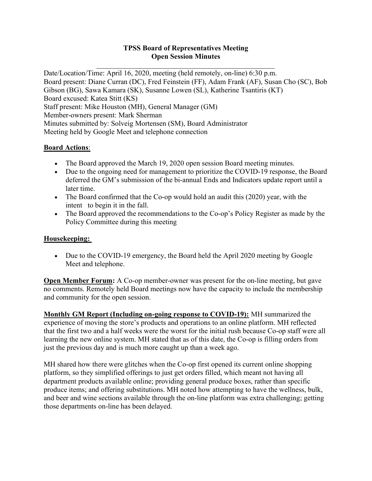#### TPSS Board of Representatives Meeting Open Session Minutes

Date/Location/Time: April 16, 2020, meeting (held remotely, on-line) 6:30 p.m. Board present: Diane Curran (DC), Fred Feinstein (FF), Adam Frank (AF), Susan Cho (SC), Bob Gibson (BG), Sawa Kamara (SK), Susanne Lowen (SL), Katherine Tsantiris (KT) Board excused: Katea Stitt (KS) Staff present: Mike Houston (MH), General Manager (GM) Member-owners present: Mark Sherman Minutes submitted by: Solveig Mortensen (SM), Board Administrator Meeting held by Google Meet and telephone connection

### Board Actions:

- The Board approved the March 19, 2020 open session Board meeting minutes.
- Due to the ongoing need for management to prioritize the COVID-19 response, the Board deferred the GM's submission of the bi-annual Ends and Indicators update report until a later time.
- The Board confirmed that the Co-op would hold an audit this (2020) year, with the intent to begin it in the fall.
- The Board approved the recommendations to the Co-op's Policy Register as made by the Policy Committee during this meeting

#### Housekeeping:

 Due to the COVID-19 emergency, the Board held the April 2020 meeting by Google Meet and telephone.

Open Member Forum: A Co-op member-owner was present for the on-line meeting, but gave no comments. Remotely held Board meetings now have the capacity to include the membership and community for the open session.

Monthly GM Report (Including on-going response to COVID-19): MH summarized the experience of moving the store's products and operations to an online platform. MH reflected that the first two and a half weeks were the worst for the initial rush because Co-op staff were all learning the new online system. MH stated that as of this date, the Co-op is filling orders from just the previous day and is much more caught up than a week ago.

MH shared how there were glitches when the Co-op first opened its current online shopping platform, so they simplified offerings to just get orders filled, which meant not having all department products available online; providing general produce boxes, rather than specific produce items; and offering substitutions. MH noted how attempting to have the wellness, bulk, and beer and wine sections available through the on-line platform was extra challenging; getting those departments on-line has been delayed.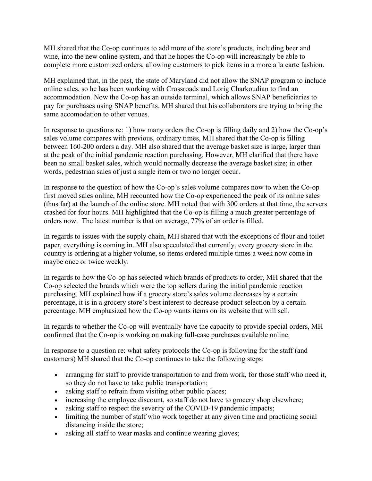MH shared that the Co-op continues to add more of the store's products, including beer and wine, into the new online system, and that he hopes the Co-op will increasingly be able to complete more customized orders, allowing customers to pick items in a more a la carte fashion.

MH explained that, in the past, the state of Maryland did not allow the SNAP program to include online sales, so he has been working with Crossroads and Lorig Charkoudian to find an accommodation. Now the Co-op has an outside terminal, which allows SNAP beneficiaries to pay for purchases using SNAP benefits. MH shared that his collaborators are trying to bring the same accomodation to other venues.

In response to questions re: 1) how many orders the Co-op is filling daily and 2) how the Co-op's sales volume compares with previous, ordinary times, MH shared that the Co-op is filling between 160-200 orders a day. MH also shared that the average basket size is large, larger than at the peak of the initial pandemic reaction purchasing. However, MH clarified that there have been no small basket sales, which would normally decrease the average basket size; in other words, pedestrian sales of just a single item or two no longer occur.

In response to the question of how the Co-op's sales volume compares now to when the Co-op first moved sales online, MH recounted how the Co-op experienced the peak of its online sales (thus far) at the launch of the online store. MH noted that with 300 orders at that time, the servers crashed for four hours. MH highlighted that the Co-op is filling a much greater percentage of orders now. The latest number is that on average, 77% of an order is filled.

In regards to issues with the supply chain, MH shared that with the exceptions of flour and toilet paper, everything is coming in. MH also speculated that currently, every grocery store in the country is ordering at a higher volume, so items ordered multiple times a week now come in maybe once or twice weekly.

In regards to how the Co-op has selected which brands of products to order, MH shared that the Co-op selected the brands which were the top sellers during the initial pandemic reaction purchasing. MH explained how if a grocery store's sales volume decreases by a certain percentage, it is in a grocery store's best interest to decrease product selection by a certain percentage. MH emphasized how the Co-op wants items on its website that will sell.

In regards to whether the Co-op will eventually have the capacity to provide special orders, MH confirmed that the Co-op is working on making full-case purchases available online.

In response to a question re: what safety protocols the Co-op is following for the staff (and customers) MH shared that the Co-op continues to take the following steps:

- arranging for staff to provide transportation to and from work, for those staff who need it, so they do not have to take public transportation;
- asking staff to refrain from visiting other public places;
- increasing the employee discount, so staff do not have to grocery shop elsewhere;
- asking staff to respect the severity of the COVID-19 pandemic impacts;
- limiting the number of staff who work together at any given time and practicing social distancing inside the store;
- asking all staff to wear masks and continue wearing gloves;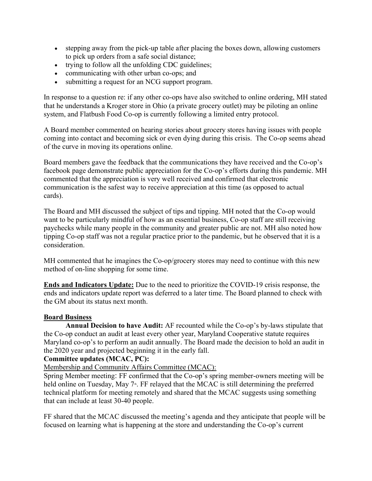- stepping away from the pick-up table after placing the boxes down, allowing customers to pick up orders from a safe social distance;
- trying to follow all the unfolding CDC guidelines;
- communicating with other urban co-ops; and
- submitting a request for an NCG support program.

In response to a question re: if any other co-ops have also switched to online ordering, MH stated that he understands a Kroger store in Ohio (a private grocery outlet) may be piloting an online system, and Flatbush Food Co-op is currently following a limited entry protocol.

A Board member commented on hearing stories about grocery stores having issues with people coming into contact and becoming sick or even dying during this crisis. The Co-op seems ahead of the curve in moving its operations online.

Board members gave the feedback that the communications they have received and the Co-op's facebook page demonstrate public appreciation for the Co-op's efforts during this pandemic. MH commented that the appreciation is very well received and confirmed that electronic communication is the safest way to receive appreciation at this time (as opposed to actual cards).

The Board and MH discussed the subject of tips and tipping. MH noted that the Co-op would want to be particularly mindful of how as an essential business, Co-op staff are still receiving paychecks while many people in the community and greater public are not. MH also noted how tipping Co-op staff was not a regular practice prior to the pandemic, but he observed that it is a consideration.

MH commented that he imagines the Co-op/grocery stores may need to continue with this new method of on-line shopping for some time.

Ends and Indicators Update: Due to the need to prioritize the COVID-19 crisis response, the ends and indicators update report was deferred to a later time. The Board planned to check with the GM about its status next month.

#### Board Business

Annual Decision to have Audit: AF recounted while the Co-op's by-laws stipulate that the Co-op conduct an audit at least every other year, Maryland Cooperative statute requires Maryland co-op's to perform an audit annually. The Board made the decision to hold an audit in the 2020 year and projected beginning it in the early fall.

#### Committee updates (MCAC, PC):

#### Membership and Community Affairs Committee (MCAC):

Spring Member meeting: FF confirmed that the Co-op's spring member-owners meeting will be held online on Tuesday, May  $7<sup>th</sup>$ . FF relayed that the MCAC is still determining the preferred technical platform for meeting remotely and shared that the MCAC suggests using something that can include at least 30-40 people.

FF shared that the MCAC discussed the meeting's agenda and they anticipate that people will be focused on learning what is happening at the store and understanding the Co-op's current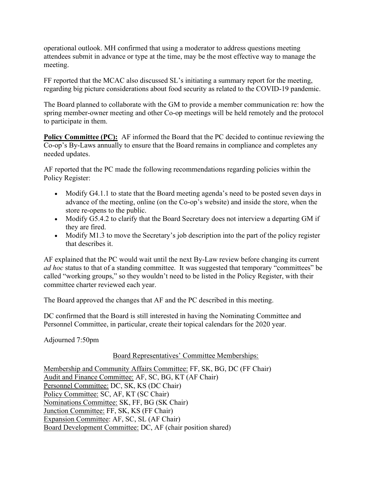operational outlook. MH confirmed that using a moderator to address questions meeting attendees submit in advance or type at the time, may be the most effective way to manage the meeting.

FF reported that the MCAC also discussed SL's initiating a summary report for the meeting, regarding big picture considerations about food security as related to the COVID-19 pandemic.

The Board planned to collaborate with the GM to provide a member communication re: how the spring member-owner meeting and other Co-op meetings will be held remotely and the protocol to participate in them.

Policy Committee (PC): AF informed the Board that the PC decided to continue reviewing the Co-op's By-Laws annually to ensure that the Board remains in compliance and completes any needed updates.

AF reported that the PC made the following recommendations regarding policies within the Policy Register:

- Modify G4.1.1 to state that the Board meeting agenda's need to be posted seven days in advance of the meeting, online (on the Co-op's website) and inside the store, when the store re-opens to the public.
- Modify G5.4.2 to clarify that the Board Secretary does not interview a departing GM if they are fired.
- Modify M1.3 to move the Secretary's job description into the part of the policy register that describes it.

AF explained that the PC would wait until the next By-Law review before changing its current ad hoc status to that of a standing committee. It was suggested that temporary "committees" be called "working groups," so they wouldn't need to be listed in the Policy Register, with their committee charter reviewed each year.

The Board approved the changes that AF and the PC described in this meeting.

DC confirmed that the Board is still interested in having the Nominating Committee and Personnel Committee, in particular, create their topical calendars for the 2020 year.

Adjourned 7:50pm

#### Board Representatives' Committee Memberships:

Membership and Community Affairs Committee: FF, SK, BG, DC (FF Chair) Audit and Finance Committee: AF, SC, BG, KT (AF Chair) Personnel Committee: DC, SK, KS (DC Chair) Policy Committee: SC, AF, KT (SC Chair) Nominations Committee: SK, FF, BG (SK Chair) Junction Committee: FF, SK, KS (FF Chair) Expansion Committee: AF, SC, SL (AF Chair) Board Development Committee: DC, AF (chair position shared)